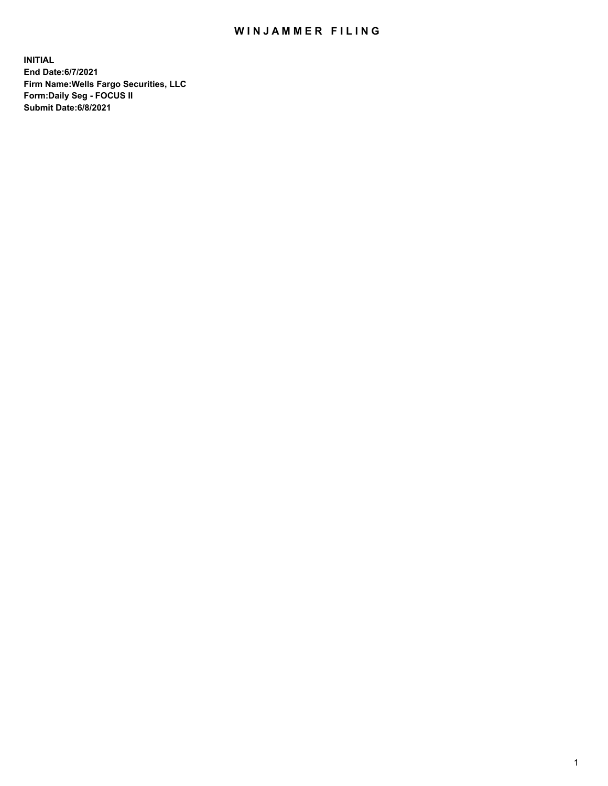## WIN JAMMER FILING

**INITIAL End Date:6/7/2021 Firm Name:Wells Fargo Securities, LLC Form:Daily Seg - FOCUS II Submit Date:6/8/2021**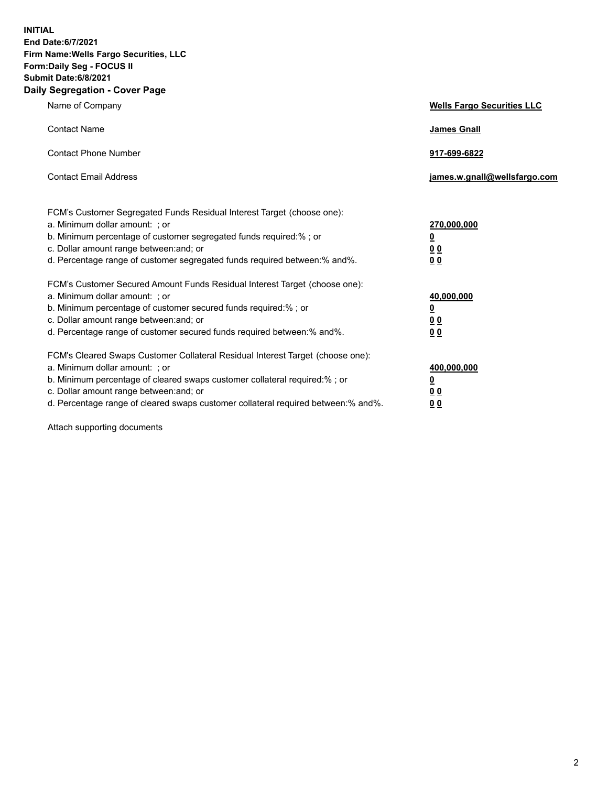**INITIAL End Date:6/7/2021 Firm Name:Wells Fargo Securities, LLC Form:Daily Seg - FOCUS II Submit Date:6/8/2021 Daily Segregation - Cover Page**

| Name of Company                                                                                                                                                                                                                                                                                                                | <b>Wells Fargo Securities LLC</b>                              |
|--------------------------------------------------------------------------------------------------------------------------------------------------------------------------------------------------------------------------------------------------------------------------------------------------------------------------------|----------------------------------------------------------------|
| <b>Contact Name</b>                                                                                                                                                                                                                                                                                                            | <b>James Gnall</b>                                             |
| <b>Contact Phone Number</b>                                                                                                                                                                                                                                                                                                    | 917-699-6822                                                   |
| <b>Contact Email Address</b>                                                                                                                                                                                                                                                                                                   | james.w.gnall@wellsfargo.com                                   |
| FCM's Customer Segregated Funds Residual Interest Target (choose one):<br>a. Minimum dollar amount: ; or<br>b. Minimum percentage of customer segregated funds required:% ; or<br>c. Dollar amount range between: and; or<br>d. Percentage range of customer segregated funds required between:% and%.                         | 270,000,000<br>$\overline{\mathbf{0}}$<br>0 <sub>0</sub><br>00 |
| FCM's Customer Secured Amount Funds Residual Interest Target (choose one):<br>a. Minimum dollar amount: ; or<br>b. Minimum percentage of customer secured funds required:% ; or<br>c. Dollar amount range between: and; or<br>d. Percentage range of customer secured funds required between:% and%.                           | 40,000,000<br><u>0</u><br>00<br>0 <sub>0</sub>                 |
| FCM's Cleared Swaps Customer Collateral Residual Interest Target (choose one):<br>a. Minimum dollar amount: ; or<br>b. Minimum percentage of cleared swaps customer collateral required:% ; or<br>c. Dollar amount range between: and; or<br>d. Percentage range of cleared swaps customer collateral required between:% and%. | 400,000,000<br><u>0</u><br>0 <sub>0</sub><br>00                |

Attach supporting documents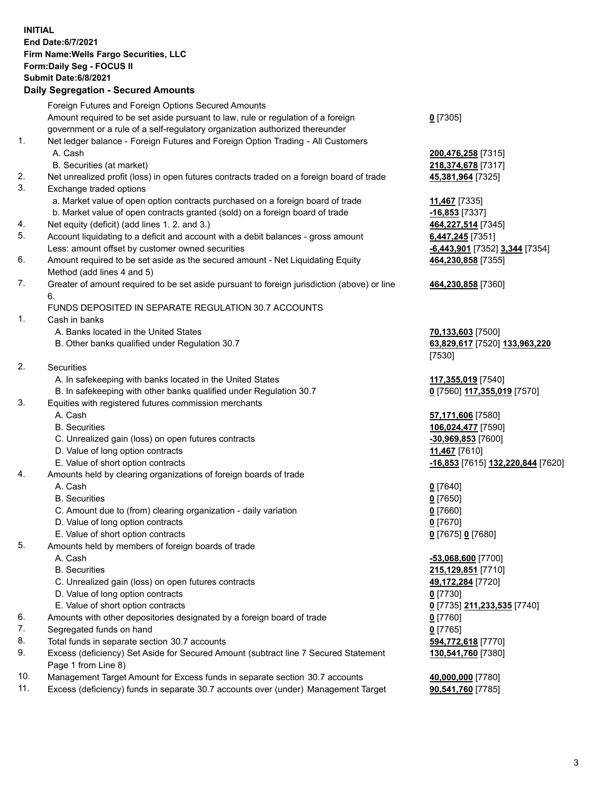**INITIAL End Date:6/7/2021 Firm Name:Wells Fargo Securities, LLC Form:Daily Seg - FOCUS II Submit Date:6/8/2021 Daily Segregation - Secured Amounts**

Foreign Futures and Foreign Options Secured Amounts Amount required to be set aside pursuant to law, rule or regulation of a foreign government or a rule of a self-regulatory organization authorized thereunder **0** [7305] 1. Net ledger balance - Foreign Futures and Foreign Option Trading - All Customers A. Cash **200,476,258** [7315] B. Securities (at market) **218,374,678** [7317] 2. Net unrealized profit (loss) in open futures contracts traded on a foreign board of trade **45,381,964** [7325] 3. Exchange traded options a. Market value of open option contracts purchased on a foreign board of trade **11,467** [7335] b. Market value of open contracts granted (sold) on a foreign board of trade **-16,853** [7337] 4. Net equity (deficit) (add lines 1. 2. and 3.) **464,227,514** [7345] 5. Account liquidating to a deficit and account with a debit balances - gross amount **6,447,245** [7351] Less: amount offset by customer owned securities **-6,443,901** [7352] **3,344** [7354] 6. Amount required to be set aside as the secured amount - Net Liquidating Equity Method (add lines 4 and 5) **464,230,858** [7355] 7. Greater of amount required to be set aside pursuant to foreign jurisdiction (above) or line 6. **464,230,858** [7360] FUNDS DEPOSITED IN SEPARATE REGULATION 30.7 ACCOUNTS 1. Cash in banks A. Banks located in the United States **70,133,603** [7500] B. Other banks qualified under Regulation 30.7 **63,829,617** [7520] **133,963,220** [7530] 2. Securities A. In safekeeping with banks located in the United States **117,355,019** [7540] B. In safekeeping with other banks qualified under Regulation 30.7 **0** [7560] **117,355,019** [7570] 3. Equities with registered futures commission merchants A. Cash **57,171,606** [7580] B. Securities **106,024,477** [7590] C. Unrealized gain (loss) on open futures contracts **-30,969,853** [7600] D. Value of long option contracts **11,467** [7610] E. Value of short option contracts **-16,853** [7615] **132,220,844** [7620] 4. Amounts held by clearing organizations of foreign boards of trade A. Cash **0** [7640] B. Securities **0** [7650] C. Amount due to (from) clearing organization - daily variation **0** [7660] D. Value of long option contracts **0** [7670] E. Value of short option contracts **0** [7675] **0** [7680] 5. Amounts held by members of foreign boards of trade A. Cash **-53,068,600** [7700]

- B. Securities **215,129,851** [7710]
- C. Unrealized gain (loss) on open futures contracts **49,172,284** [7720]
- D. Value of long option contracts **0** [7730]
- E. Value of short option contracts **0** [7735] **211,233,535** [7740]
- 6. Amounts with other depositories designated by a foreign board of trade **0** [7760]
- 7. Segregated funds on hand **0** [7765]
- 8. Total funds in separate section 30.7 accounts **594,772,618** [7770]
- 9. Excess (deficiency) Set Aside for Secured Amount (subtract line 7 Secured Statement Page 1 from Line 8)
- 10. Management Target Amount for Excess funds in separate section 30.7 accounts **40,000,000** [7780]
- 11. Excess (deficiency) funds in separate 30.7 accounts over (under) Management Target **90,541,760** [7785]

**130,541,760** [7380]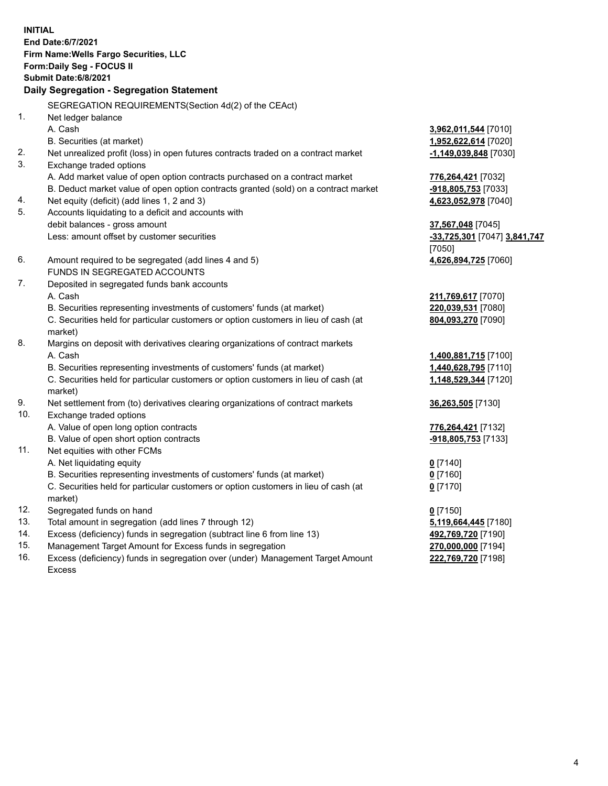**INITIAL End Date:6/7/2021 Firm Name:Wells Fargo Securities, LLC Form:Daily Seg - FOCUS II Submit Date:6/8/2021 Daily Segregation - Segregation Statement** SEGREGATION REQUIREMENTS(Section 4d(2) of the CEAct) 1. Net ledger balance A. Cash **3,962,011,544** [7010] B. Securities (at market) **1,952,622,614** [7020] 2. Net unrealized profit (loss) in open futures contracts traded on a contract market **-1,149,039,848** [7030] 3. Exchange traded options A. Add market value of open option contracts purchased on a contract market **776,264,421** [7032] B. Deduct market value of open option contracts granted (sold) on a contract market **-918,805,753** [7033] 4. Net equity (deficit) (add lines 1, 2 and 3) **4,623,052,978** [7040] 5. Accounts liquidating to a deficit and accounts with debit balances - gross amount **37,567,048** [7045] Less: amount offset by customer securities **-33,725,301** [7047] **3,841,747** [7050] 6. Amount required to be segregated (add lines 4 and 5) **4,626,894,725** [7060] FUNDS IN SEGREGATED ACCOUNTS 7. Deposited in segregated funds bank accounts A. Cash **211,769,617** [7070] B. Securities representing investments of customers' funds (at market) **220,039,531** [7080] C. Securities held for particular customers or option customers in lieu of cash (at market) **804,093,270** [7090] 8. Margins on deposit with derivatives clearing organizations of contract markets A. Cash **1,400,881,715** [7100] B. Securities representing investments of customers' funds (at market) **1,440,628,795** [7110] C. Securities held for particular customers or option customers in lieu of cash (at market) **1,148,529,344** [7120] 9. Net settlement from (to) derivatives clearing organizations of contract markets **36,263,505** [7130] 10. Exchange traded options A. Value of open long option contracts **776,264,421** [7132] B. Value of open short option contracts **and the set of our original contracts -918,805,753** [7133] 11. Net equities with other FCMs A. Net liquidating equity **0** [7140] B. Securities representing investments of customers' funds (at market) **0** [7160] C. Securities held for particular customers or option customers in lieu of cash (at market) **0** [7170] 12. Segregated funds on hand **0** [7150] 13. Total amount in segregation (add lines 7 through 12) **5,119,664,445** [7180] 14. Excess (deficiency) funds in segregation (subtract line 6 from line 13) **492,769,720** [7190] 15. Management Target Amount for Excess funds in segregation **270,000,000** [7194] **222,769,720** [7198]

16. Excess (deficiency) funds in segregation over (under) Management Target Amount Excess